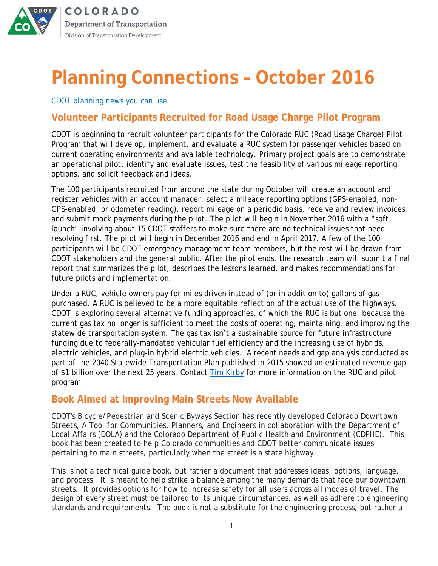

**COLORADO** Department of Transportation Division of Transportation Development

# **Planning Connections – October 2016**

*CDOT planning news you can use.*

#### **Volunteer Participants Recruited for Road Usage Charge Pilot Program**

CDOT is beginning to recruit volunteer participants for the Colorado RUC (Road Usage Charge) Pilot Program that will develop, implement, and evaluate a RUC system for passenger vehicles based on current operating environments and available technology. Primary project goals are to demonstrate an operational pilot, identify and evaluate issues, test the feasibility of various mileage reporting options, and solicit feedback and ideas.

The 100 participants recruited from around the state during October will create an account and register vehicles with an account manager, select a mileage reporting options (GPS-enabled, non-GPS-enabled, or odometer reading), report mileage on a periodic basis, receive and review invoices, and submit mock payments during the pilot. The pilot will begin in November 2016 with a "soft launch" involving about 15 CDOT staffers to make sure there are no technical issues that need resolving first. The pilot will begin in December 2016 and end in April 2017. A few of the 100 participants will be CDOT emergency management team members, but the rest will be drawn from CDOT stakeholders and the general public. After the pilot ends, the research team will submit a final report that summarizes the pilot, describes the lessons learned, and makes recommendations for future pilots and implementation.

Under a RUC, vehicle owners pay for miles driven instead of (or in addition to) gallons of gas purchased. A RUC is believed to be a more equitable reflection of the actual use of the highways. CDOT is exploring several alternative funding approaches, of which the RUC is but one, because the current gas tax no longer is sufficient to meet the costs of operating, maintaining, and improving the statewide transportation system. The gas tax isn't a sustainable source for future infrastructure funding due to federally-mandated vehicular fuel efficiency and the increasing use of hybrids, electric vehicles, and plug-in hybrid electric vehicles. A recent needs and gap analysis conducted as part of the *2040 Statewide Transportation Plan* published in 2015 showed an estimated revenue gap of \$1 billion over the next 25 years. Contact [Tim Kirby](mailto:timothy.kirby@state.co.us) for more information on the RUC and pilot program.

#### **Book Aimed at Improving Main Streets Now Available**

CDOT's Bicycle/Pedestrian and Scenic Byways Section has recently developed *Colorado Downtown Streets, A Tool for Communities, Planners, and Engineers* in collaboration with the Department of Local Affairs (DOLA) and the Colorado Department of Public Health and Environment (CDPHE). This book has been created to help Colorado communities and CDOT better communicate issues pertaining to main streets, particularly when the street is a state highway.

This is not a technical guide book, but rather a document that addresses ideas, options, language, and process. It is meant to help strike a balance among the many demands that face our downtown streets. It provides options for how to increase safety for all users across all modes of travel. The design of every street must be tailored to its unique circumstances, as well as adhere to engineering standards and requirements. The book is not a substitute for the engineering process, but rather a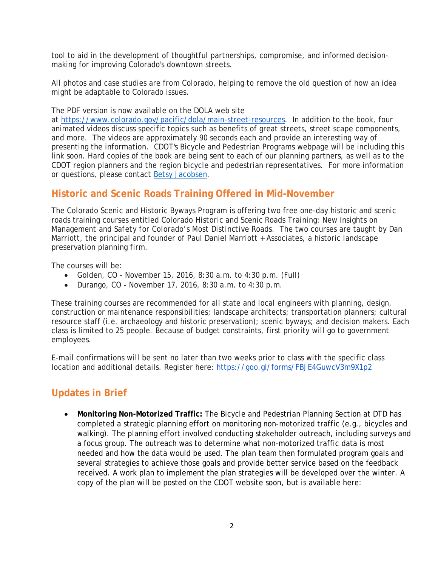tool to aid in the development of thoughtful partnerships, compromise, and informed decisionmaking for improving Colorado's downtown streets.

All photos and case studies are from Colorado, helping to remove the old question of how an idea might be adaptable to Colorado issues.

The PDF version is now available on the DOLA web site

at [https://www.colorado.gov/pacific/dola/main-street-resources.](https://www.colorado.gov/pacific/dola/main-street-resources) In addition to the book, four animated videos discuss specific topics such as benefits of great streets, street scape components, and more. The videos are approximately 90 seconds each and provide an interesting way of presenting the information. CDOT's Bicycle and Pedestrian Programs webpage will be including this link soon. Hard copies of the book are being sent to each of our planning partners, as well as to the CDOT region planners and the region bicycle and pedestrian representatives. For more information or questions, please contact [Betsy Jacobsen.](mailto:betsy.jacobsen@state.co.us)

## **Historic and Scenic Roads Training Offered in Mid-November**

The Colorado Scenic and Historic Byways Program is offering two free one-day historic and scenic roads training courses entitled *Colorado Historic and Scenic Roads Training: New Insights on Management and Safety for Colorado's Most Distinctive Roads*. The two courses are taught by Dan Marriott, the principal and founder of Paul Daniel Marriott + Associates, a historic landscape preservation planning firm.

The courses will be:

- Golden, CO November 15, 2016, 8:30 a.m. to 4:30 p.m. (Full)
- Durango, CO November 17, 2016, 8:30  $a.m.$  to 4:30  $p.m.$

These training courses are recommended for all state and local engineers with planning, design, construction or maintenance responsibilities; landscape architects; transportation planners; cultural resource staff (i.e. archaeology and historic preservation); scenic byways; and decision makers. Each class is limited to 25 people. Because of budget constraints, first priority will go to government employees.

E-mail confirmations will be sent no later than two weeks prior to class with the specific class location and additional details. Register here: <https://goo.gl/forms/FBJE4GuwcV3m9X1p2>

## **Updates in Brief**

• **Monitoring Non-Motorized Traffic:** The Bicycle and Pedestrian Planning Section at DTD has completed a strategic planning effort on monitoring non-motorized traffic (e.g., bicycles and walking). The planning effort involved conducting stakeholder outreach, including surveys and a focus group. The outreach was to determine what non-motorized traffic data is most needed and how the data would be used. The plan team then formulated program goals and several strategies to achieve those goals and provide better service based on the feedback received. A work plan to implement the plan strategies will be developed over the winter. A copy of the plan will be posted on the CDOT website soon, but is available here: